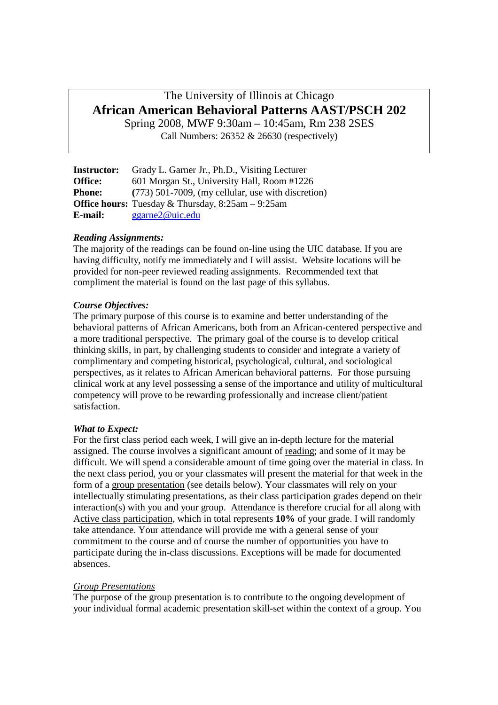# The University of Illinois at Chicago **African American Behavioral Patterns AAST/PSCH 202**

Spring 2008, MWF 9:30am – 10:45am, Rm 238 2SES Call Numbers: 26352 & 26630 (respectively)

| <b>Instructor:</b> | Grady L. Garner Jr., Ph.D., Visiting Lecturer              |
|--------------------|------------------------------------------------------------|
| <b>Office:</b>     | 601 Morgan St., University Hall, Room #1226                |
| <b>Phone:</b>      | $(773)$ 501-7009, (my cellular, use with discretion)       |
|                    | <b>Office hours:</b> Tuesday & Thursday, $8:25am - 9:25am$ |
| E-mail:            | $g\gamma$ ggarne2@uic.edu                                  |

## *Reading Assignments:*

The majority of the readings can be found on-line using the UIC database. If you are having difficulty, notify me immediately and I will assist. Website locations will be provided for non-peer reviewed reading assignments. Recommended text that compliment the material is found on the last page of this syllabus.

# *Course Objectives:*

The primary purpose of this course is to examine and better understanding of the behavioral patterns of African Americans, both from an African-centered perspective and a more traditional perspective. The primary goal of the course is to develop critical thinking skills, in part, by challenging students to consider and integrate a variety of complimentary and competing historical, psychological, cultural, and sociological perspectives, as it relates to African American behavioral patterns. For those pursuing clinical work at any level possessing a sense of the importance and utility of multicultural competency will prove to be rewarding professionally and increase client/patient satisfaction.

## *What to Expect:*

For the first class period each week, I will give an in-depth lecture for the material assigned. The course involves a significant amount of reading; and some of it may be difficult. We will spend a considerable amount of time going over the material in class. In the next class period, you or your classmates will present the material for that week in the form of a group presentation (see details below). Your classmates will rely on your intellectually stimulating presentations, as their class participation grades depend on their interaction(s) with you and your group. Attendance is therefore crucial for all along with Active class participation, which in total represents **10%** of your grade. I will randomly take attendance. Your attendance will provide me with a general sense of your commitment to the course and of course the number of opportunities you have to participate during the in-class discussions. Exceptions will be made for documented absences.

## *Group Presentations*

The purpose of the group presentation is to contribute to the ongoing development of your individual formal academic presentation skill-set within the context of a group. You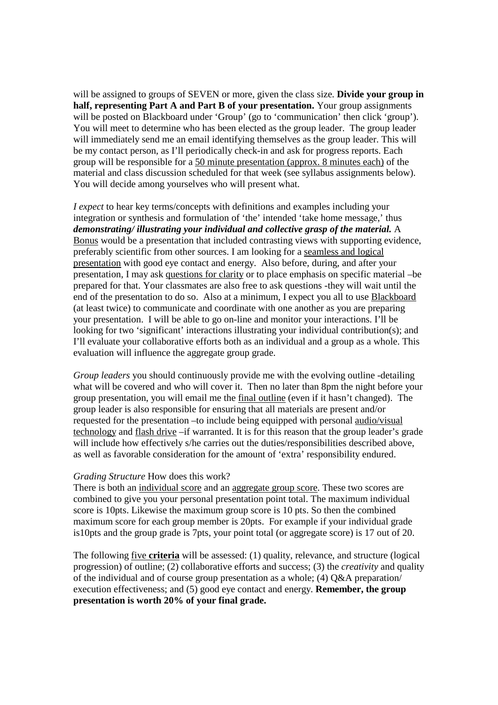will be assigned to groups of SEVEN or more, given the class size. **Divide your group in half, representing Part A and Part B of your presentation.** Your group assignments will be posted on Blackboard under 'Group' (go to 'communication' then click 'group'). You will meet to determine who has been elected as the group leader. The group leader will immediately send me an email identifying themselves as the group leader. This will be my contact person, as I'll periodically check-in and ask for progress reports. Each group will be responsible for a 50 minute presentation (approx. 8 minutes each) of the material and class discussion scheduled for that week (see syllabus assignments below). You will decide among yourselves who will present what.

*I expect* to hear key terms/concepts with definitions and examples including your integration or synthesis and formulation of 'the' intended 'take home message,' thus *demonstrating/ illustrating your individual and collective grasp of the material.* A Bonus would be a presentation that included contrasting views with supporting evidence, preferably scientific from other sources. I am looking for a seamless and logical presentation with good eye contact and energy. Also before, during, and after your presentation, I may ask questions for clarity or to place emphasis on specific material –be prepared for that. Your classmates are also free to ask questions -they will wait until the end of the presentation to do so. Also at a minimum, I expect you all to use **Blackboard** (at least twice) to communicate and coordinate with one another as you are preparing your presentation. I will be able to go on-line and monitor your interactions. I'll be looking for two 'significant' interactions illustrating your individual contribution(s); and I'll evaluate your collaborative efforts both as an individual and a group as a whole. This evaluation will influence the aggregate group grade.

*Group leaders* you should continuously provide me with the evolving outline -detailing what will be covered and who will cover it. Then no later than 8pm the night before your group presentation, you will email me the final outline (even if it hasn't changed). The group leader is also responsible for ensuring that all materials are present and/or requested for the presentation –to include being equipped with personal audio/visual technology and flash drive –if warranted. It is for this reason that the group leader's grade will include how effectively s/he carries out the duties/responsibilities described above, as well as favorable consideration for the amount of 'extra' responsibility endured.

#### *Grading Structure* How does this work?

There is both an individual score and an aggregate group score. These two scores are combined to give you your personal presentation point total. The maximum individual score is 10pts. Likewise the maximum group score is 10 pts. So then the combined maximum score for each group member is 20pts. For example if your individual grade is10pts and the group grade is 7pts, your point total (or aggregate score) is 17 out of 20.

The following five **criteria** will be assessed: (1) quality, relevance, and structure (logical progression) of outline; (2) collaborative efforts and success; (3) the *creativity* and quality of the individual and of course group presentation as a whole; (4) Q&A preparation/ execution effectiveness; and (5) good eye contact and energy. **Remember, the group presentation is worth 20% of your final grade.**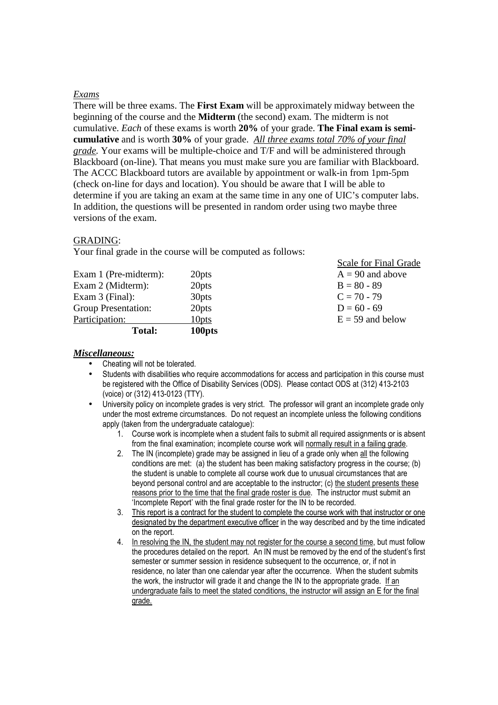#### *Exams*

There will be three exams. The **First Exam** will be approximately midway between the beginning of the course and the **Midterm** (the second) exam. The midterm is not cumulative. *Each* of these exams is worth **20%** of your grade. **The Final exam is semicumulative** and is worth **30%** of your grade. *All three exams total 70% of your final grade.* Your exams will be multiple-choice and T/F and will be administered through Blackboard (on-line). That means you must make sure you are familiar with Blackboard. The ACCC Blackboard tutors are available by appointment or walk-in from 1pm-5pm (check on-line for days and location). You should be aware that I will be able to determine if you are taking an exam at the same time in any one of UIC's computer labs. In addition, the questions will be presented in random order using two maybe three versions of the exam.

#### GRADING:

Your final grade in the course will be computed as follows:

| <b>Total:</b>              | 100pts            |                       |
|----------------------------|-------------------|-----------------------|
| Participation:             | 10 <sub>pts</sub> | $E = 59$ and below    |
| <b>Group Presentation:</b> | 20 <sub>pts</sub> | $D = 60 - 69$         |
| Exam $3$ (Final):          | 30 <sub>pts</sub> | $C = 70 - 79$         |
| Exam 2 (Midterm):          | 20 <sub>pts</sub> | $B = 80 - 89$         |
| Exam 1 (Pre-midterm):      | 20 <sub>pts</sub> | $A = 90$ and above    |
|                            |                   | Deale for Thiat Orage |

Scale for Final Grade

#### *Miscellaneous:*

- Cheating will not be tolerated.
- Students with disabilities who require accommodations for access and participation in this course must be registered with the Office of Disability Services (ODS). Please contact ODS at (312) 413-2103 (voice) or (312) 413-0123 (TTY).
- University policy on incomplete grades is very strict. The professor will grant an incomplete grade only under the most extreme circumstances. Do not request an incomplete unless the following conditions apply (taken from the undergraduate catalogue):
	- 1. Course work is incomplete when a student fails to submit all required assignments or is absent from the final examination; incomplete course work will normally result in a failing grade.
	- 2. The IN (incomplete) grade may be assigned in lieu of a grade only when all the following conditions are met: (a) the student has been making satisfactory progress in the course; (b) the student is unable to complete all course work due to unusual circumstances that are beyond personal control and are acceptable to the instructor; (c) the student presents these reasons prior to the time that the final grade roster is due. The instructor must submit an 'Incomplete Report' with the final grade roster for the IN to be recorded.
	- 3. This report is a contract for the student to complete the course work with that instructor or one designated by the department executive officer in the way described and by the time indicated on the report.
	- 4. In resolving the IN, the student may not register for the course a second time, but must follow the procedures detailed on the report. An IN must be removed by the end of the student's first semester or summer session in residence subsequent to the occurrence, or, if not in residence, no later than one calendar year after the occurrence. When the student submits the work, the instructor will grade it and change the IN to the appropriate grade. If an undergraduate fails to meet the stated conditions, the instructor will assign an E for the final grade.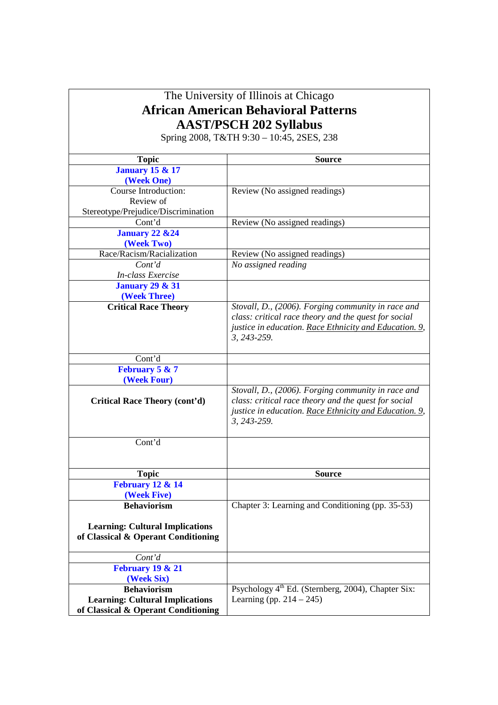| The University of Illinois at Chicago                                         |                                                                |  |  |  |
|-------------------------------------------------------------------------------|----------------------------------------------------------------|--|--|--|
| <b>African American Behavioral Patterns</b>                                   |                                                                |  |  |  |
| <b>AAST/PSCH 202 Syllabus</b>                                                 |                                                                |  |  |  |
|                                                                               | Spring 2008, T&TH 9:30 - 10:45, 2SES, 238                      |  |  |  |
|                                                                               |                                                                |  |  |  |
| Topic                                                                         | <b>Source</b>                                                  |  |  |  |
| <b>January 15 &amp; 17</b>                                                    |                                                                |  |  |  |
| (Week One)                                                                    |                                                                |  |  |  |
| Course Introduction:                                                          | Review (No assigned readings)                                  |  |  |  |
| Review of                                                                     |                                                                |  |  |  |
| Stereotype/Prejudice/Discrimination                                           |                                                                |  |  |  |
| Cont'd                                                                        | Review (No assigned readings)                                  |  |  |  |
| <b>January 22 &amp; 24</b>                                                    |                                                                |  |  |  |
| (Week Two)<br>Race/Racism/Racialization                                       | Review (No assigned readings)                                  |  |  |  |
| Cont'd                                                                        | No assigned reading                                            |  |  |  |
| In-class Exercise                                                             |                                                                |  |  |  |
| <b>January 29 &amp; 31</b>                                                    |                                                                |  |  |  |
| (Week Three)                                                                  |                                                                |  |  |  |
| <b>Critical Race Theory</b>                                                   | Stovall, D., (2006). Forging community in race and             |  |  |  |
|                                                                               | class: critical race theory and the quest for social           |  |  |  |
|                                                                               | justice in education. Race Ethnicity and Education. 9,         |  |  |  |
|                                                                               | 3, 243-259.                                                    |  |  |  |
| Cont'd                                                                        |                                                                |  |  |  |
| February 5 & 7                                                                |                                                                |  |  |  |
| (Week Four)                                                                   |                                                                |  |  |  |
|                                                                               | Stovall, D., (2006). Forging community in race and             |  |  |  |
| <b>Critical Race Theory (cont'd)</b>                                          | class: critical race theory and the quest for social           |  |  |  |
|                                                                               | justice in education. Race Ethnicity and Education. 9,         |  |  |  |
|                                                                               | 3, 243-259.                                                    |  |  |  |
| Cont'd                                                                        |                                                                |  |  |  |
|                                                                               |                                                                |  |  |  |
|                                                                               |                                                                |  |  |  |
| <b>Topic</b>                                                                  | <b>Source</b>                                                  |  |  |  |
| <b>February 12 &amp; 14</b>                                                   |                                                                |  |  |  |
| (Week Five)                                                                   |                                                                |  |  |  |
| <b>Behaviorism</b>                                                            | Chapter 3: Learning and Conditioning (pp. 35-53)               |  |  |  |
| <b>Learning: Cultural Implications</b>                                        |                                                                |  |  |  |
| of Classical & Operant Conditioning                                           |                                                                |  |  |  |
|                                                                               |                                                                |  |  |  |
| Cont'd                                                                        |                                                                |  |  |  |
| <b>February 19 &amp; 21</b>                                                   |                                                                |  |  |  |
| (Week Six)                                                                    |                                                                |  |  |  |
| <b>Behaviorism</b>                                                            | Psychology 4 <sup>th</sup> Ed. (Sternberg, 2004), Chapter Six: |  |  |  |
| <b>Learning: Cultural Implications</b><br>of Classical & Operant Conditioning | Learning (pp. $214 - 245$ )                                    |  |  |  |
|                                                                               |                                                                |  |  |  |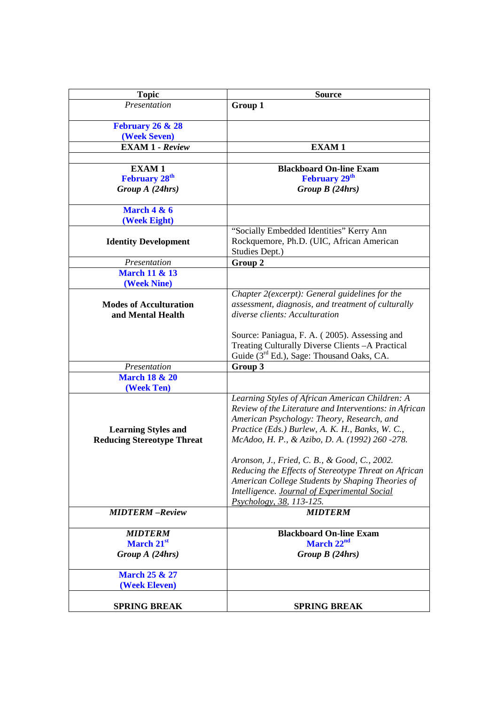| <b>Topic</b>                                                    | <b>Source</b>                                                                                                                                                                                                                                                |
|-----------------------------------------------------------------|--------------------------------------------------------------------------------------------------------------------------------------------------------------------------------------------------------------------------------------------------------------|
| Presentation                                                    | Group 1                                                                                                                                                                                                                                                      |
| <b>February 26 &amp; 28</b>                                     |                                                                                                                                                                                                                                                              |
| (Week Seven)                                                    |                                                                                                                                                                                                                                                              |
| <b>EXAM 1 - Review</b>                                          | <b>EXAM1</b>                                                                                                                                                                                                                                                 |
|                                                                 |                                                                                                                                                                                                                                                              |
| <b>EXAM1</b>                                                    | <b>Blackboard On-line Exam</b>                                                                                                                                                                                                                               |
| <b>February 28th</b>                                            | February 29 <sup>th</sup>                                                                                                                                                                                                                                    |
| Group A (24hrs)                                                 | Group $B(24hrs)$                                                                                                                                                                                                                                             |
| <b>March 4 &amp; 6</b>                                          |                                                                                                                                                                                                                                                              |
| (Week Eight)                                                    |                                                                                                                                                                                                                                                              |
| <b>Identity Development</b>                                     | "Socially Embedded Identities" Kerry Ann<br>Rockquemore, Ph.D. (UIC, African American<br>Studies Dept.)                                                                                                                                                      |
| Presentation                                                    | Group 2                                                                                                                                                                                                                                                      |
| <b>March 11 &amp; 13</b><br>(Week Nine)                         |                                                                                                                                                                                                                                                              |
| <b>Modes of Acculturation</b><br>and Mental Health              | Chapter 2(excerpt): General guidelines for the<br>assessment, diagnosis, and treatment of culturally<br>diverse clients: Acculturation                                                                                                                       |
|                                                                 | Source: Paniagua, F. A. (2005). Assessing and<br>Treating Culturally Diverse Clients - A Practical<br>Guide (3 <sup>rd</sup> Ed.), Sage: Thousand Oaks, CA.                                                                                                  |
| Presentation                                                    | Group 3                                                                                                                                                                                                                                                      |
| <b>March 18 &amp; 20</b><br>(Week Ten)                          |                                                                                                                                                                                                                                                              |
| <b>Learning Styles and</b><br><b>Reducing Stereotype Threat</b> | Learning Styles of African American Children: A<br>Review of the Literature and Interventions: in African<br>American Psychology: Theory, Research, and<br>Practice (Eds.) Burlew, A. K. H., Banks, W. C.,<br>McAdoo, H. P., & Azibo, D. A. (1992) 260 -278. |
|                                                                 | Aronson, J., Fried, C. B., & Good, C., 2002.<br>Reducing the Effects of Stereotype Threat on African<br>American College Students by Shaping Theories of<br>Intelligence. Journal of Experimental Social<br>Psychology, 38, 113-125.                         |
| <b>MIDTERM-Review</b>                                           | <b>MIDTERM</b>                                                                                                                                                                                                                                               |
| <b>MIDTERM</b><br>March 21st<br>Group A (24hrs)                 | <b>Blackboard On-line Exam</b><br>March 22 <sup>nd</sup><br>Group $B(24hrs)$                                                                                                                                                                                 |
| <b>March 25 &amp; 27</b><br>(Week Eleven)                       |                                                                                                                                                                                                                                                              |
| <b>SPRING BREAK</b>                                             | <b>SPRING BREAK</b>                                                                                                                                                                                                                                          |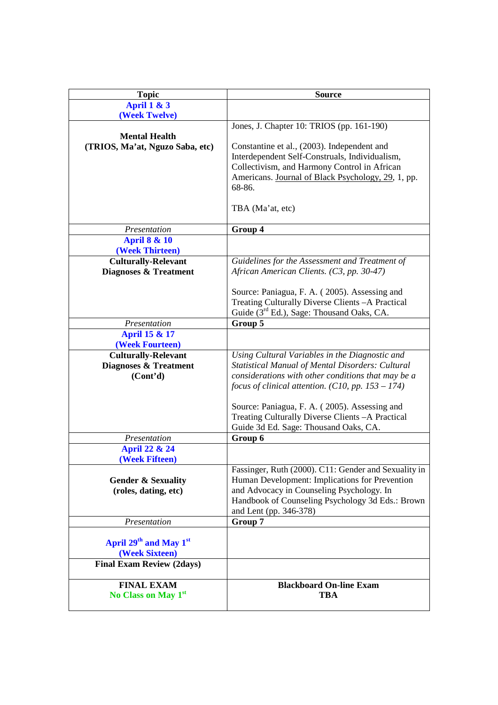| <b>Topic</b>                                                                 | <b>Source</b>                                                                                                                                                                                                                                                                                                                 |
|------------------------------------------------------------------------------|-------------------------------------------------------------------------------------------------------------------------------------------------------------------------------------------------------------------------------------------------------------------------------------------------------------------------------|
| <b>April 1 &amp; 3</b>                                                       |                                                                                                                                                                                                                                                                                                                               |
| (Week Twelve)                                                                |                                                                                                                                                                                                                                                                                                                               |
|                                                                              | Jones, J. Chapter 10: TRIOS (pp. 161-190)                                                                                                                                                                                                                                                                                     |
| <b>Mental Health</b><br>(TRIOS, Ma'at, Nguzo Saba, etc)                      | Constantine et al., (2003). Independent and<br>Interdependent Self-Construals, Individualism,<br>Collectivism, and Harmony Control in African<br>Americans. Journal of Black Psychology, 29, 1, pp.<br>68-86.                                                                                                                 |
|                                                                              | TBA (Ma'at, etc)                                                                                                                                                                                                                                                                                                              |
| Presentation                                                                 | Group 4                                                                                                                                                                                                                                                                                                                       |
| <b>April 8 &amp; 10</b>                                                      |                                                                                                                                                                                                                                                                                                                               |
| (Week Thirteen)                                                              |                                                                                                                                                                                                                                                                                                                               |
| <b>Culturally-Relevant</b><br>Diagnoses & Treatment                          | Guidelines for the Assessment and Treatment of<br>African American Clients. (C3, pp. 30-47)                                                                                                                                                                                                                                   |
|                                                                              | Source: Paniagua, F. A. (2005). Assessing and<br>Treating Culturally Diverse Clients - A Practical<br>Guide (3 <sup>rd</sup> Ed.), Sage: Thousand Oaks, CA.                                                                                                                                                                   |
| Presentation                                                                 | Group 5                                                                                                                                                                                                                                                                                                                       |
| <b>April 15 &amp; 17</b>                                                     |                                                                                                                                                                                                                                                                                                                               |
| (Week Fourteen)                                                              |                                                                                                                                                                                                                                                                                                                               |
| <b>Culturally-Relevant</b><br>Diagnoses & Treatment<br>(Cont <sup>2</sup> d) | Using Cultural Variables in the Diagnostic and<br><b>Statistical Manual of Mental Disorders: Cultural</b><br>considerations with other conditions that may be a<br>focus of clinical attention. (C10, pp. $153 - 174$ )<br>Source: Paniagua, F. A. (2005). Assessing and<br>Treating Culturally Diverse Clients - A Practical |
|                                                                              | Guide 3d Ed. Sage: Thousand Oaks, CA.                                                                                                                                                                                                                                                                                         |
| Presentation                                                                 | Group 6                                                                                                                                                                                                                                                                                                                       |
| <b>April 22 &amp; 24</b><br>(Week Fifteen)                                   |                                                                                                                                                                                                                                                                                                                               |
| <b>Gender &amp; Sexuality</b><br>(roles, dating, etc)                        | Fassinger, Ruth (2000). C11: Gender and Sexuality in<br>Human Development: Implications for Prevention<br>and Advocacy in Counseling Psychology. In<br>Handbook of Counseling Psychology 3d Eds.: Brown<br>and Lent (pp. 346-378)                                                                                             |
| Presentation                                                                 | Group 7                                                                                                                                                                                                                                                                                                                       |
| April 29 <sup>th</sup> and May 1 <sup>st</sup><br>(Week Sixteen)             |                                                                                                                                                                                                                                                                                                                               |
| <b>Final Exam Review (2days)</b>                                             |                                                                                                                                                                                                                                                                                                                               |
| <b>FINAL EXAM</b><br>No Class on May 1st                                     | <b>Blackboard On-line Exam</b><br><b>TBA</b>                                                                                                                                                                                                                                                                                  |